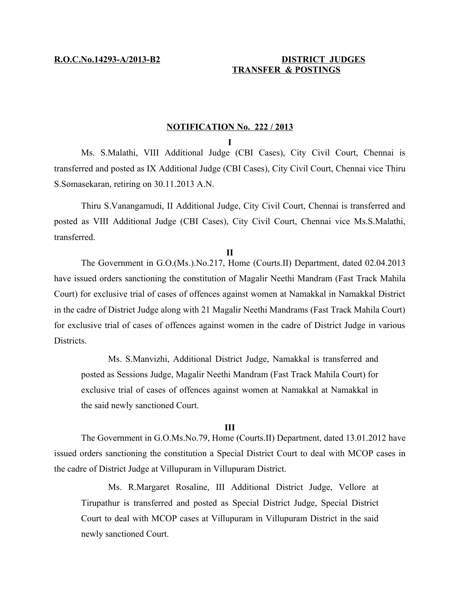# **R.O.C.No.14293-A/2013-B2 DISTRICT JUDGES TRANSFER & POSTINGS**

## **NOTIFICATION No. 222 / 2013**

**I**

Ms. S.Malathi, VIII Additional Judge (CBI Cases), City Civil Court, Chennai is transferred and posted as IX Additional Judge (CBI Cases), City Civil Court, Chennai vice Thiru S.Somasekaran, retiring on 30.11.2013 A.N.

Thiru S.Vanangamudi, II Additional Judge, City Civil Court, Chennai is transferred and posted as VIII Additional Judge (CBI Cases), City Civil Court, Chennai vice Ms.S.Malathi, transferred.

#### **II**

The Government in G.O.(Ms.).No.217, Home (Courts.II) Department, dated 02.04.2013 have issued orders sanctioning the constitution of Magalir Neethi Mandram (Fast Track Mahila Court) for exclusive trial of cases of offences against women at Namakkal in Namakkal District in the cadre of District Judge along with 21 Magalir Neethi Mandrams (Fast Track Mahila Court) for exclusive trial of cases of offences against women in the cadre of District Judge in various **Districts** 

Ms. S.Manvizhi, Additional District Judge, Namakkal is transferred and posted as Sessions Judge, Magalir Neethi Mandram (Fast Track Mahila Court) for exclusive trial of cases of offences against women at Namakkal at Namakkal in the said newly sanctioned Court.

## **III**

The Government in G.O.Ms.No.79, Home (Courts.II) Department, dated 13.01.2012 have issued orders sanctioning the constitution a Special District Court to deal with MCOP cases in the cadre of District Judge at Villupuram in Villupuram District.

Ms. R.Margaret Rosaline, III Additional District Judge, Vellore at Tirupathur is transferred and posted as Special District Judge, Special District Court to deal with MCOP cases at Villupuram in Villupuram District in the said newly sanctioned Court.